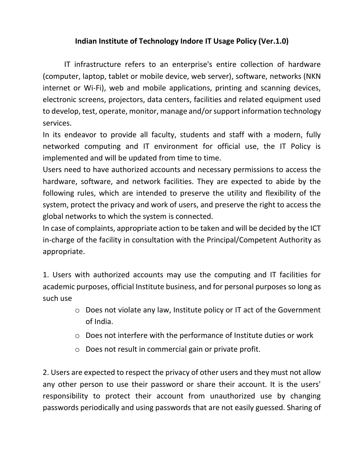## **Indian Institute of Technology Indore IT Usage Policy (Ver.1.0)**

IT infrastructure refers to an enterprise's entire collection of hardware (computer, laptop, tablet or mobile device, web server), software, networks (NKN internet or Wi-Fi), web and mobile applications, printing and scanning devices, electronic screens, projectors, data centers, facilities and related equipment used to develop, test, operate, monitor, manage and/or support information technology services.

In its endeavor to provide all faculty, students and staff with a modern, fully networked computing and IT environment for official use, the IT Policy is implemented and will be updated from time to time.

Users need to have authorized accounts and necessary permissions to access the hardware, software, and network facilities. They are expected to abide by the following rules, which are intended to preserve the utility and flexibility of the system, protect the privacy and work of users, and preserve the right to access the global networks to which the system is connected.

In case of complaints, appropriate action to be taken and will be decided by the ICT in-charge of the facility in consultation with the Principal/Competent Authority as appropriate.

1. Users with authorized accounts may use the computing and IT facilities for academic purposes, official Institute business, and for personal purposes so long as such use

- o Does not violate any law, Institute policy or IT act of the Government of India.
- o Does not interfere with the performance of Institute duties or work
- o Does not result in commercial gain or private profit.

2. Users are expected to respect the privacy of other users and they must not allow any other person to use their password or share their account. It is the users' responsibility to protect their account from unauthorized use by changing passwords periodically and using passwords that are not easily guessed. Sharing of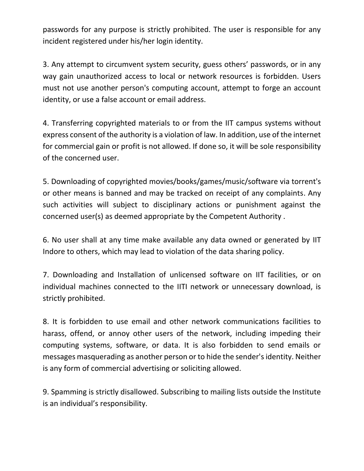passwords for any purpose is strictly prohibited. The user is responsible for any incident registered under his/her login identity.

3. Any attempt to circumvent system security, guess others' passwords, or in any way gain unauthorized access to local or network resources is forbidden. Users must not use another person's computing account, attempt to forge an account identity, or use a false account or email address.

4. Transferring copyrighted materials to or from the IIT campus systems without express consent of the authority is a violation of law. In addition, use of the internet for commercial gain or profit is not allowed. If done so, it will be sole responsibility of the concerned user.

5. Downloading of copyrighted movies/books/games/music/software via torrent's or other means is banned and may be tracked on receipt of any complaints. Any such activities will subject to disciplinary actions or punishment against the concerned user(s) as deemed appropriate by the Competent Authority .

6. No user shall at any time make available any data owned or generated by IIT Indore to others, which may lead to violation of the data sharing policy.

7. Downloading and Installation of unlicensed software on IIT facilities, or on individual machines connected to the IITI network or unnecessary download, is strictly prohibited.

8. It is forbidden to use email and other network communications facilities to harass, offend, or annoy other users of the network, including impeding their computing systems, software, or data. It is also forbidden to send emails or messages masquerading as another person or to hide the sender's identity. Neither is any form of commercial advertising or soliciting allowed.

9. Spamming is strictly disallowed. Subscribing to mailing lists outside the Institute is an individual's responsibility.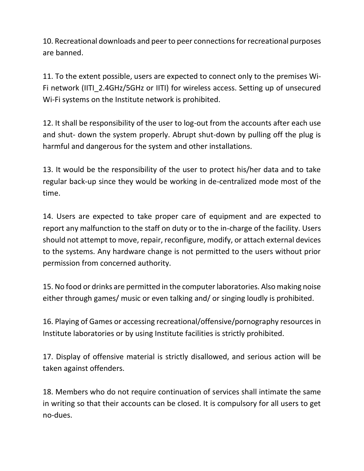10. Recreational downloads and peer to peer connections for recreational purposes are banned.

11. To the extent possible, users are expected to connect only to the premises Wi-Fi network (IITI\_2.4GHz/5GHz or IITI) for wireless access. Setting up of unsecured Wi-Fi systems on the Institute network is prohibited.

12. It shall be responsibility of the user to log-out from the accounts after each use and shut- down the system properly. Abrupt shut-down by pulling off the plug is harmful and dangerous for the system and other installations.

13. It would be the responsibility of the user to protect his/her data and to take regular back-up since they would be working in de-centralized mode most of the time.

14. Users are expected to take proper care of equipment and are expected to report any malfunction to the staff on duty or to the in-charge of the facility. Users should not attempt to move, repair, reconfigure, modify, or attach external devices to the systems. Any hardware change is not permitted to the users without prior permission from concerned authority.

15. No food or drinks are permitted in the computer laboratories. Also making noise either through games/ music or even talking and/ or singing loudly is prohibited.

16. Playing of Games or accessing recreational/offensive/pornography resources in Institute laboratories or by using Institute facilities is strictly prohibited.

17. Display of offensive material is strictly disallowed, and serious action will be taken against offenders.

18. Members who do not require continuation of services shall intimate the same in writing so that their accounts can be closed. It is compulsory for all users to get no-dues.